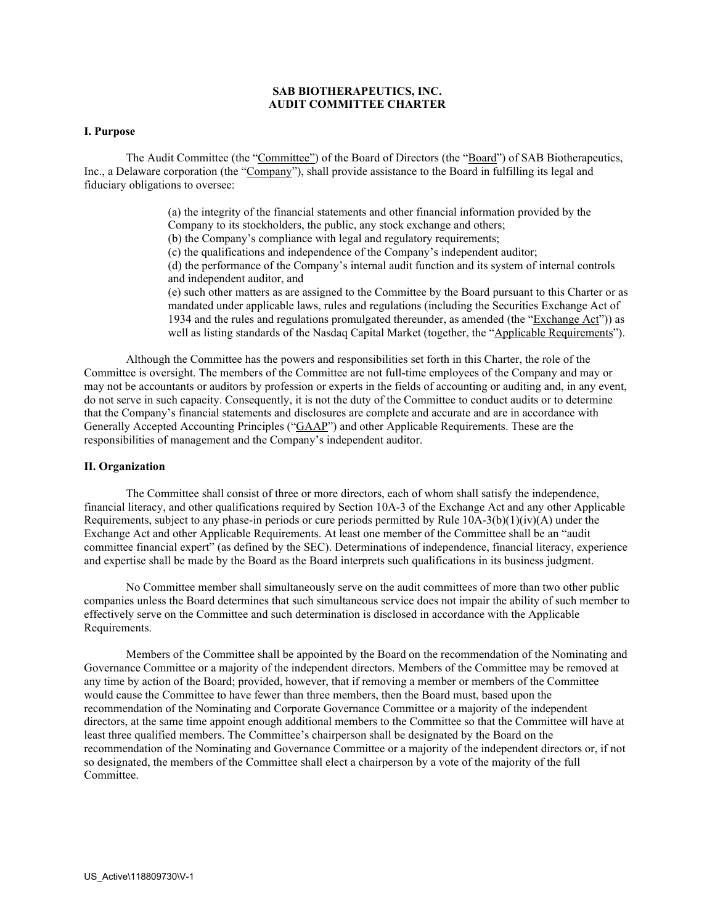# **SAB BIOTHERAPEUTICS, INC. AUDIT COMMITTEE CHARTER**

### **I. Purpose**

The Audit Committee (the "Committee") of the Board of Directors (the "Board") of SAB Biotherapeutics, Inc., a Delaware corporation (the "Company"), shall provide assistance to the Board in fulfilling its legal and fiduciary obligations to oversee:

> (a) the integrity of the financial statements and other financial information provided by the Company to its stockholders, the public, any stock exchange and others; (b) the Company's compliance with legal and regulatory requirements; (c) the qualifications and independence of the Company's independent auditor; (d) the performance of the Company's internal audit function and its system of internal controls and independent auditor, and (e) such other matters as are assigned to the Committee by the Board pursuant to this Charter or as mandated under applicable laws, rules and regulations (including the Securities Exchange Act of 1934 and the rules and regulations promulgated thereunder, as amended (the "Exchange Act")) as well as listing standards of the Nasdaq Capital Market (together, the "Applicable Requirements").

Although the Committee has the powers and responsibilities set forth in this Charter, the role of the Committee is oversight. The members of the Committee are not full-time employees of the Company and may or may not be accountants or auditors by profession or experts in the fields of accounting or auditing and, in any event, do not serve in such capacity. Consequently, it is not the duty of the Committee to conduct audits or to determine that the Company's financial statements and disclosures are complete and accurate and are in accordance with Generally Accepted Accounting Principles ("GAAP") and other Applicable Requirements. These are the responsibilities of management and the Company's independent auditor.

#### **II. Organization**

The Committee shall consist of three or more directors, each of whom shall satisfy the independence, financial literacy, and other qualifications required by Section 10A-3 of the Exchange Act and any other Applicable Requirements, subject to any phase-in periods or cure periods permitted by Rule  $10A-3(b)(1)(iv)(A)$  under the Exchange Act and other Applicable Requirements. At least one member of the Committee shall be an "audit committee financial expert" (as defined by the SEC). Determinations of independence, financial literacy, experience and expertise shall be made by the Board as the Board interprets such qualifications in its business judgment.

No Committee member shall simultaneously serve on the audit committees of more than two other public companies unless the Board determines that such simultaneous service does not impair the ability of such member to effectively serve on the Committee and such determination is disclosed in accordance with the Applicable Requirements.

Members of the Committee shall be appointed by the Board on the recommendation of the Nominating and Governance Committee or a majority of the independent directors. Members of the Committee may be removed at any time by action of the Board; provided, however, that if removing a member or members of the Committee would cause the Committee to have fewer than three members, then the Board must, based upon the recommendation of the Nominating and Corporate Governance Committee or a majority of the independent directors, at the same time appoint enough additional members to the Committee so that the Committee will have at least three qualified members. The Committee's chairperson shall be designated by the Board on the recommendation of the Nominating and Governance Committee or a majority of the independent directors or, if not so designated, the members of the Committee shall elect a chairperson by a vote of the majority of the full Committee.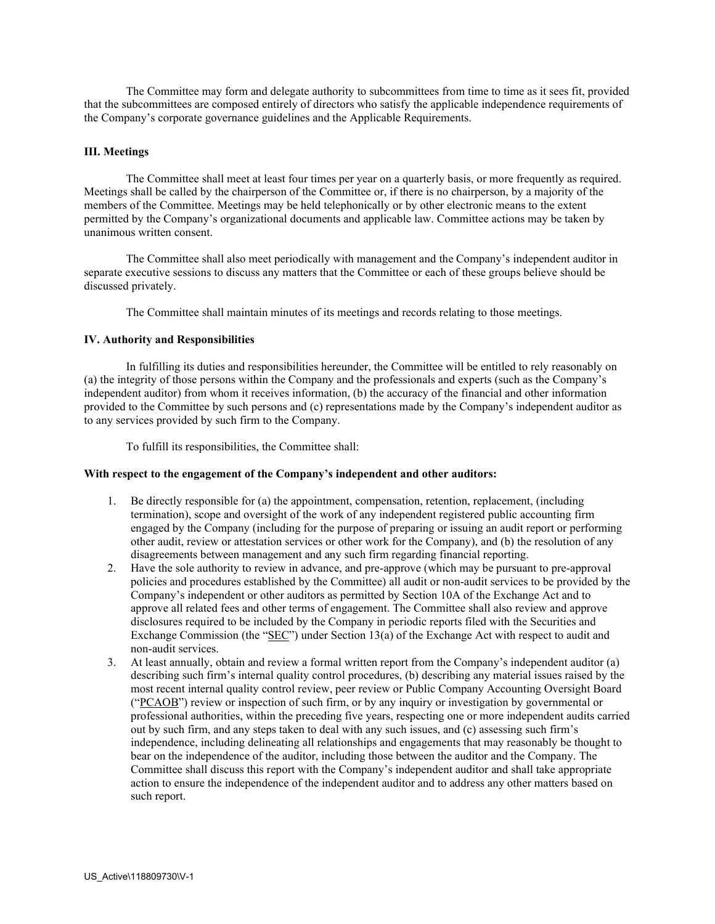The Committee may form and delegate authority to subcommittees from time to time as it sees fit, provided that the subcommittees are composed entirely of directors who satisfy the applicable independence requirements of the Company's corporate governance guidelines and the Applicable Requirements.

### **III. Meetings**

The Committee shall meet at least four times per year on a quarterly basis, or more frequently as required. Meetings shall be called by the chairperson of the Committee or, if there is no chairperson, by a majority of the members of the Committee. Meetings may be held telephonically or by other electronic means to the extent permitted by the Company's organizational documents and applicable law. Committee actions may be taken by unanimous written consent.

The Committee shall also meet periodically with management and the Company's independent auditor in separate executive sessions to discuss any matters that the Committee or each of these groups believe should be discussed privately.

The Committee shall maintain minutes of its meetings and records relating to those meetings.

### **IV. Authority and Responsibilities**

In fulfilling its duties and responsibilities hereunder, the Committee will be entitled to rely reasonably on (a) the integrity of those persons within the Company and the professionals and experts (such as the Company's independent auditor) from whom it receives information, (b) the accuracy of the financial and other information provided to the Committee by such persons and (c) representations made by the Company's independent auditor as to any services provided by such firm to the Company.

To fulfill its responsibilities, the Committee shall:

### **With respect to the engagement of the Company's independent and other auditors:**

- 1. Be directly responsible for (a) the appointment, compensation, retention, replacement, (including termination), scope and oversight of the work of any independent registered public accounting firm engaged by the Company (including for the purpose of preparing or issuing an audit report or performing other audit, review or attestation services or other work for the Company), and (b) the resolution of any disagreements between management and any such firm regarding financial reporting.
- 2. Have the sole authority to review in advance, and pre-approve (which may be pursuant to pre-approval policies and procedures established by the Committee) all audit or non-audit services to be provided by the Company's independent or other auditors as permitted by Section 10A of the Exchange Act and to approve all related fees and other terms of engagement. The Committee shall also review and approve disclosures required to be included by the Company in periodic reports filed with the Securities and Exchange Commission (the "SEC") under Section 13(a) of the Exchange Act with respect to audit and non-audit services.
- 3. At least annually, obtain and review a formal written report from the Company's independent auditor (a) describing such firm's internal quality control procedures, (b) describing any material issues raised by the most recent internal quality control review, peer review or Public Company Accounting Oversight Board ("PCAOB") review or inspection of such firm, or by any inquiry or investigation by governmental or professional authorities, within the preceding five years, respecting one or more independent audits carried out by such firm, and any steps taken to deal with any such issues, and (c) assessing such firm's independence, including delineating all relationships and engagements that may reasonably be thought to bear on the independence of the auditor, including those between the auditor and the Company. The Committee shall discuss this report with the Company's independent auditor and shall take appropriate action to ensure the independence of the independent auditor and to address any other matters based on such report.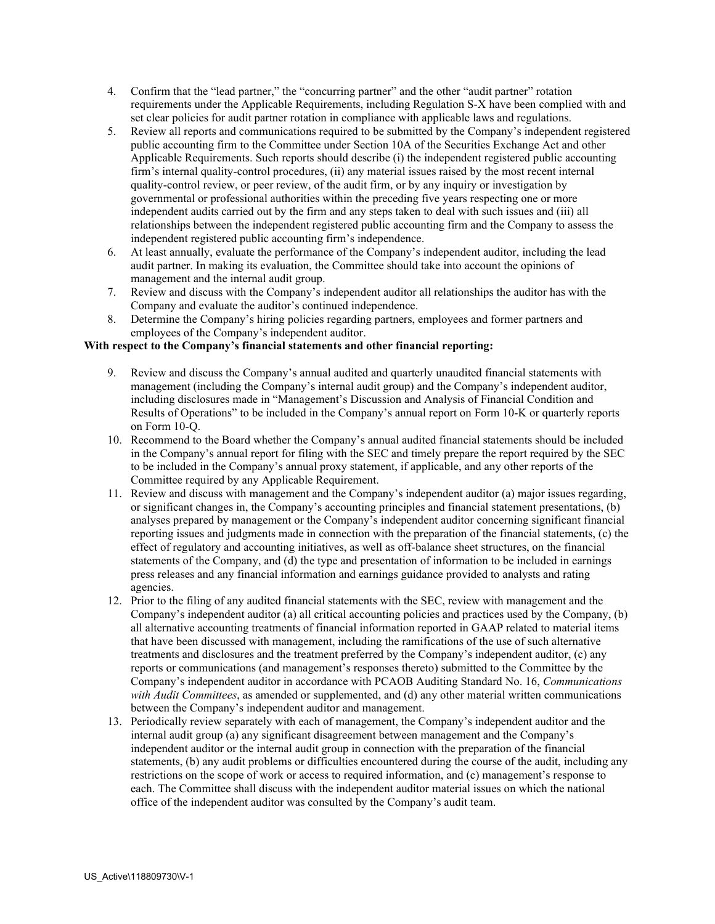- 4. Confirm that the "lead partner," the "concurring partner" and the other "audit partner" rotation requirements under the Applicable Requirements, including Regulation S-X have been complied with and set clear policies for audit partner rotation in compliance with applicable laws and regulations.
- 5. Review all reports and communications required to be submitted by the Company's independent registered public accounting firm to the Committee under Section 10A of the Securities Exchange Act and other Applicable Requirements. Such reports should describe (i) the independent registered public accounting firm's internal quality-control procedures, (ii) any material issues raised by the most recent internal quality-control review, or peer review, of the audit firm, or by any inquiry or investigation by governmental or professional authorities within the preceding five years respecting one or more independent audits carried out by the firm and any steps taken to deal with such issues and (iii) all relationships between the independent registered public accounting firm and the Company to assess the independent registered public accounting firm's independence.
- 6. At least annually, evaluate the performance of the Company's independent auditor, including the lead audit partner. In making its evaluation, the Committee should take into account the opinions of management and the internal audit group.
- 7. Review and discuss with the Company's independent auditor all relationships the auditor has with the Company and evaluate the auditor's continued independence.
- 8. Determine the Company's hiring policies regarding partners, employees and former partners and employees of the Company's independent auditor.

# **With respect to the Company's financial statements and other financial reporting:**

- 9. Review and discuss the Company's annual audited and quarterly unaudited financial statements with management (including the Company's internal audit group) and the Company's independent auditor, including disclosures made in "Management's Discussion and Analysis of Financial Condition and Results of Operations" to be included in the Company's annual report on Form 10-K or quarterly reports on Form 10-Q.
- 10. Recommend to the Board whether the Company's annual audited financial statements should be included in the Company's annual report for filing with the SEC and timely prepare the report required by the SEC to be included in the Company's annual proxy statement, if applicable, and any other reports of the Committee required by any Applicable Requirement.
- 11. Review and discuss with management and the Company's independent auditor (a) major issues regarding, or significant changes in, the Company's accounting principles and financial statement presentations, (b) analyses prepared by management or the Company's independent auditor concerning significant financial reporting issues and judgments made in connection with the preparation of the financial statements, (c) the effect of regulatory and accounting initiatives, as well as off-balance sheet structures, on the financial statements of the Company, and (d) the type and presentation of information to be included in earnings press releases and any financial information and earnings guidance provided to analysts and rating agencies.
- 12. Prior to the filing of any audited financial statements with the SEC, review with management and the Company's independent auditor (a) all critical accounting policies and practices used by the Company, (b) all alternative accounting treatments of financial information reported in GAAP related to material items that have been discussed with management, including the ramifications of the use of such alternative treatments and disclosures and the treatment preferred by the Company's independent auditor, (c) any reports or communications (and management's responses thereto) submitted to the Committee by the Company's independent auditor in accordance with PCAOB Auditing Standard No. 16, *Communications with Audit Committees*, as amended or supplemented, and (d) any other material written communications between the Company's independent auditor and management.
- 13. Periodically review separately with each of management, the Company's independent auditor and the internal audit group (a) any significant disagreement between management and the Company's independent auditor or the internal audit group in connection with the preparation of the financial statements, (b) any audit problems or difficulties encountered during the course of the audit, including any restrictions on the scope of work or access to required information, and (c) management's response to each. The Committee shall discuss with the independent auditor material issues on which the national office of the independent auditor was consulted by the Company's audit team.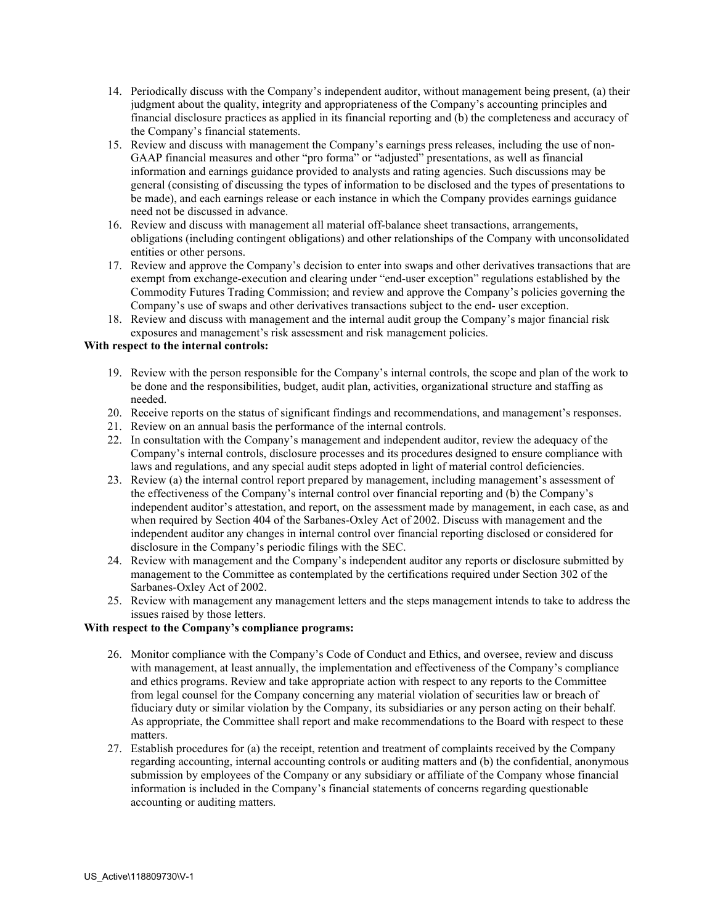- 14. Periodically discuss with the Company's independent auditor, without management being present, (a) their judgment about the quality, integrity and appropriateness of the Company's accounting principles and financial disclosure practices as applied in its financial reporting and (b) the completeness and accuracy of the Company's financial statements.
- 15. Review and discuss with management the Company's earnings press releases, including the use of non-GAAP financial measures and other "pro forma" or "adjusted" presentations, as well as financial information and earnings guidance provided to analysts and rating agencies. Such discussions may be general (consisting of discussing the types of information to be disclosed and the types of presentations to be made), and each earnings release or each instance in which the Company provides earnings guidance need not be discussed in advance.
- 16. Review and discuss with management all material off-balance sheet transactions, arrangements, obligations (including contingent obligations) and other relationships of the Company with unconsolidated entities or other persons.
- 17. Review and approve the Company's decision to enter into swaps and other derivatives transactions that are exempt from exchange-execution and clearing under "end-user exception" regulations established by the Commodity Futures Trading Commission; and review and approve the Company's policies governing the Company's use of swaps and other derivatives transactions subject to the end- user exception.
- 18. Review and discuss with management and the internal audit group the Company's major financial risk exposures and management's risk assessment and risk management policies.

## **With respect to the internal controls:**

- 19. Review with the person responsible for the Company's internal controls, the scope and plan of the work to be done and the responsibilities, budget, audit plan, activities, organizational structure and staffing as needed.
- 20. Receive reports on the status of significant findings and recommendations, and management's responses.
- 21. Review on an annual basis the performance of the internal controls.
- 22. In consultation with the Company's management and independent auditor, review the adequacy of the Company's internal controls, disclosure processes and its procedures designed to ensure compliance with laws and regulations, and any special audit steps adopted in light of material control deficiencies.
- 23. Review (a) the internal control report prepared by management, including management's assessment of the effectiveness of the Company's internal control over financial reporting and (b) the Company's independent auditor's attestation, and report, on the assessment made by management, in each case, as and when required by Section 404 of the Sarbanes-Oxley Act of 2002. Discuss with management and the independent auditor any changes in internal control over financial reporting disclosed or considered for disclosure in the Company's periodic filings with the SEC.
- 24. Review with management and the Company's independent auditor any reports or disclosure submitted by management to the Committee as contemplated by the certifications required under Section 302 of the Sarbanes-Oxley Act of 2002.
- 25. Review with management any management letters and the steps management intends to take to address the issues raised by those letters.

### **With respect to the Company's compliance programs:**

- 26. Monitor compliance with the Company's Code of Conduct and Ethics, and oversee, review and discuss with management, at least annually, the implementation and effectiveness of the Company's compliance and ethics programs. Review and take appropriate action with respect to any reports to the Committee from legal counsel for the Company concerning any material violation of securities law or breach of fiduciary duty or similar violation by the Company, its subsidiaries or any person acting on their behalf. As appropriate, the Committee shall report and make recommendations to the Board with respect to these matters.
- 27. Establish procedures for (a) the receipt, retention and treatment of complaints received by the Company regarding accounting, internal accounting controls or auditing matters and (b) the confidential, anonymous submission by employees of the Company or any subsidiary or affiliate of the Company whose financial information is included in the Company's financial statements of concerns regarding questionable accounting or auditing matters.